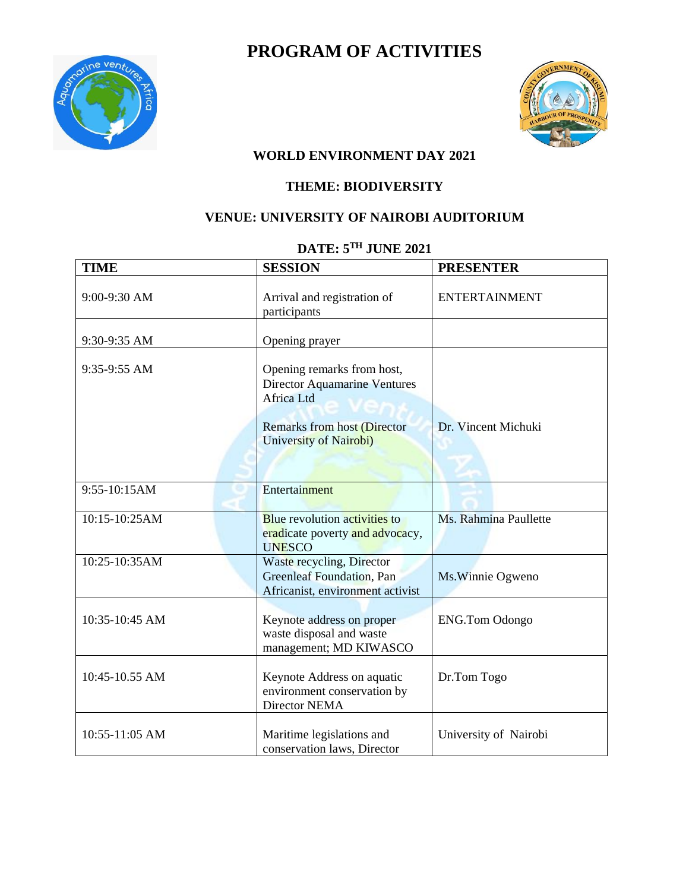

# **PROGRAM OF ACTIVITIES**



#### **WORLD ENVIRONMENT DAY 2021**

### **THEME: BIODIVERSITY**

### **VENUE: UNIVERSITY OF NAIROBI AUDITORIUM**

# **DATE: 5TH JUNE 2021**

| <b>TIME</b>      | <b>SESSION</b>                                                                                                                                  | <b>PRESENTER</b>      |
|------------------|-------------------------------------------------------------------------------------------------------------------------------------------------|-----------------------|
| 9:00-9:30 AM     | Arrival and registration of<br>participants                                                                                                     | <b>ENTERTAINMENT</b>  |
| 9:30-9:35 AM     | Opening prayer                                                                                                                                  |                       |
| 9:35-9:55 AM     | Opening remarks from host,<br><b>Director Aquamarine Ventures</b><br>Africa Ltd<br><b>Remarks from host (Director</b><br>University of Nairobi) | Dr. Vincent Michuki   |
| 9:55-10:15AM     | Entertainment                                                                                                                                   |                       |
| 10:15-10:25AM    | <b>Blue revolution activities to</b><br>eradicate poverty and advocacy,<br><b>UNESCO</b>                                                        | Ms. Rahmina Paullette |
| 10:25-10:35AM    | Waste recycling, Director<br><b>Greenleaf Foundation</b> , Pan<br>Africanist, environment activist                                              | Ms. Winnie Ogweno     |
| 10:35-10:45 AM   | Keynote address on proper<br>waste disposal and waste<br>management; MD KIWASCO                                                                 | <b>ENG.Tom Odongo</b> |
| $10:45-10.55$ AM | Keynote Address on aquatic<br>environment conservation by<br>Director NEMA                                                                      | Dr.Tom Togo           |
| 10:55-11:05 AM   | Maritime legislations and<br>conservation laws, Director                                                                                        | University of Nairobi |